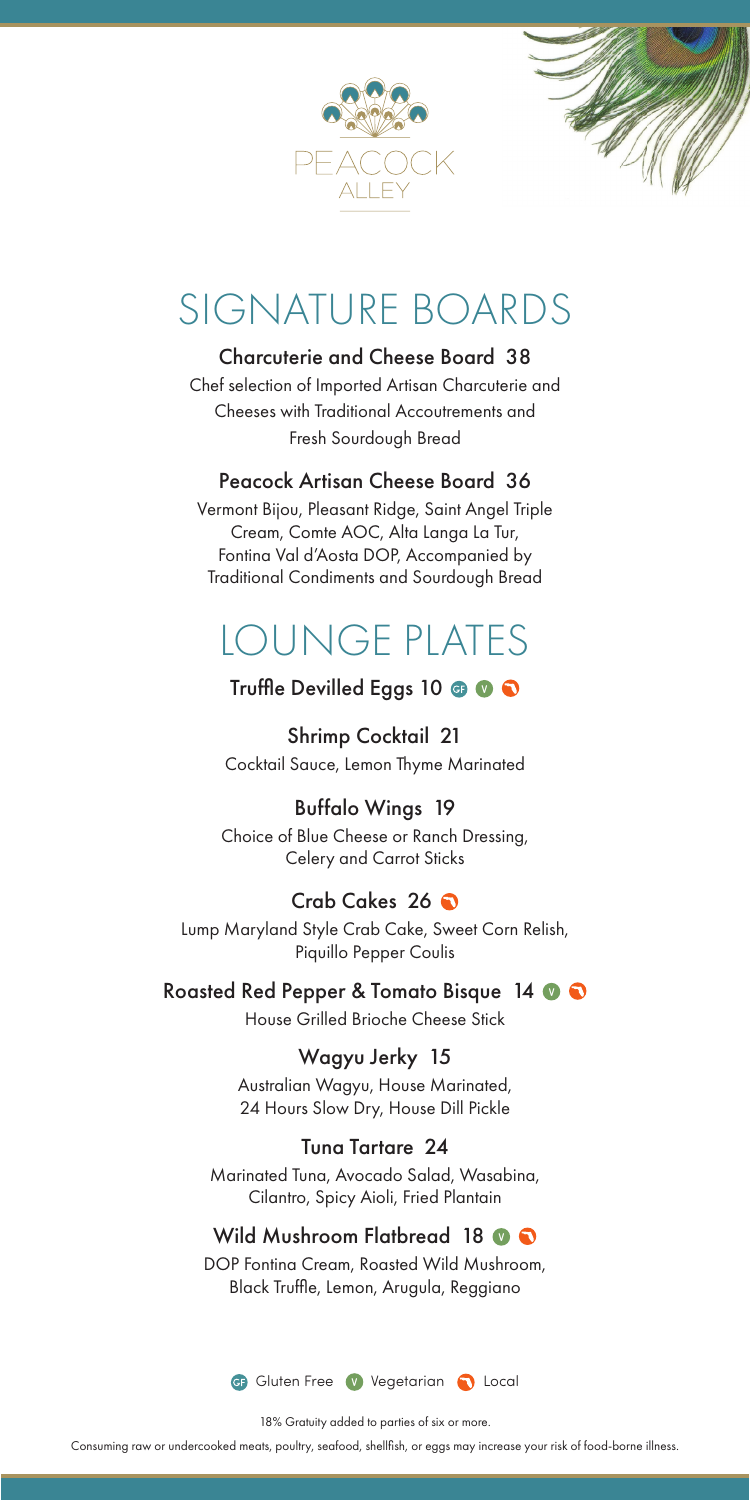



# SIGNATURE BOARDS

### Charcuterie and Cheese Board 38

Chef selection of Imported Artisan Charcuterie and Cheeses with Traditional Accoutrements and Fresh Sourdough Bread

### Peacock Artisan Cheese Board 36

Vermont Bijou, Pleasant Ridge, Saint Angel Triple Cream, Comte AOC, Alta Langa La Tur, Fontina Val d'Aosta DOP, Accompanied by Traditional Condiments and Sourdough Bread

# LOUNGE PLATES

# Truffle Devilled Eggs 10  $\bigcirc$   $\bigcirc$

Shrimp Cocktail 21 Cocktail Sauce, Lemon Thyme Marinated

# Buffalo Wings 19

Choice of Blue Cheese or Ranch Dressing, Celery and Carrot Sticks

# Crab Cakes 26

Lump Maryland Style Crab Cake, Sweet Corn Relish, Piquillo Pepper Coulis

Roasted Red Pepper & Tomato Bisque 14 0 0

House Grilled Brioche Cheese Stick

## Wagyu Jerky 15

Australian Wagyu, House Marinated, 24 Hours Slow Dry, House Dill Pickle

#### Tuna Tartare 24

Marinated Tuna, Avocado Salad, Wasabina, Cilantro, Spicy Aioli, Fried Plantain

## Wild Mushroom Flatbread 18  $\circ$   $\bullet$

DOP Fontina Cream, Roasted Wild Mushroom, Black Truffle, Lemon, Arugula, Reggiano



18% Gratuity added to parties of six or more.